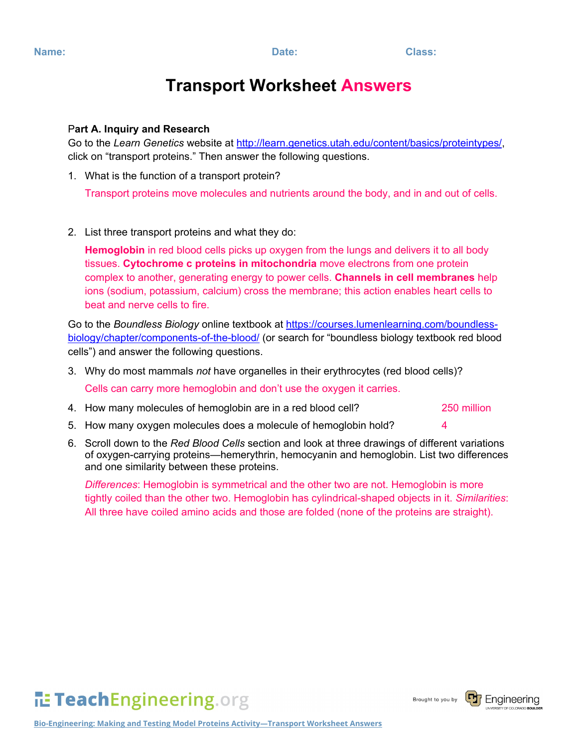# **Transport Worksheet Answers**

## P**art A. Inquiry and Research**

Go to the *Learn Genetics* website at [http://learn.genetics.utah.edu/content/basics/proteintypes/,](http://learn.genetics.utah.edu/content/basics/proteintypes/) click on "transport proteins." Then answer the following questions.

1. What is the function of a transport protein?

Transport proteins move molecules and nutrients around the body, and in and out of cells.

2. List three transport proteins and what they do:

**Hemoglobin** in red blood cells picks up oxygen from the lungs and delivers it to all body tissues. **Cytochrome c proteins in mitochondria** move electrons from one protein complex to another, generating energy to power cells. **Channels in cell membranes** help ions (sodium, potassium, calcium) cross the membrane; this action enables heart cells to beat and nerve cells to fire.

Go to the *Boundless Biology* online textbook at [https://courses.lumenlearning.com/boundless](https://courses.lumenlearning.com/boundless-biology/chapter/components-of-the-blood/)[biology/chapter/components-of-the-blood/](https://courses.lumenlearning.com/boundless-biology/chapter/components-of-the-blood/) (or search for "boundless biology textbook red blood cells") and answer the following questions.

- 3. Why do most mammals *not* have organelles in their erythrocytes (red blood cells)? Cells can carry more hemoglobin and don't use the oxygen it carries.
- 4. How many molecules of hemoglobin are in a red blood cell? 250 million
- 5. How many oxygen molecules does a molecule of hemoglobin hold? 4
- 6. Scroll down to the *Red Blood Cells* section and look at three drawings of different variations of oxygen-carrying proteins—hemerythrin, hemocyanin and hemoglobin. List two differences and one similarity between these proteins.

*Differences*: Hemoglobin is symmetrical and the other two are not. Hemoglobin is more tightly coiled than the other two. Hemoglobin has cylindrical-shaped objects in it. *Similarities*: All three have coiled amino acids and those are folded (none of the proteins are straight).



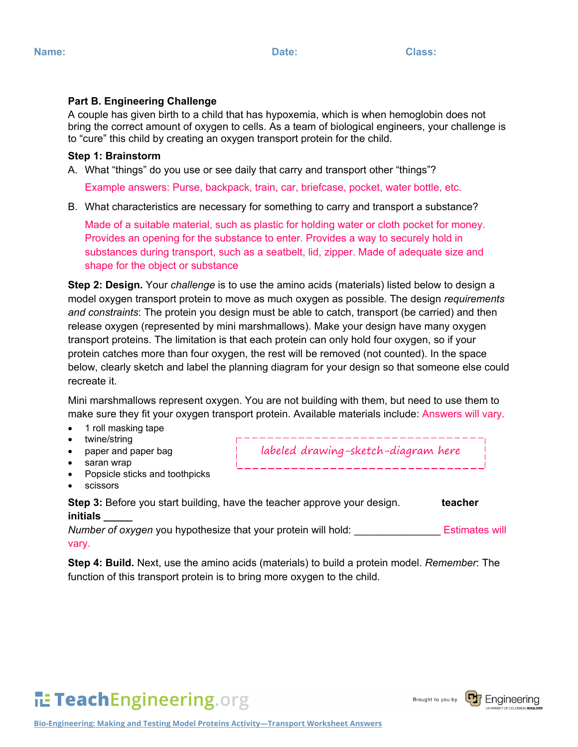## **Part B. Engineering Challenge**

A couple has given birth to a child that has hypoxemia, which is when hemoglobin does not bring the correct amount of oxygen to cells. As a team of biological engineers, your challenge is to "cure" this child by creating an oxygen transport protein for the child.

#### **Step 1: Brainstorm**

A. What "things" do you use or see daily that carry and transport other "things"?

Example answers: Purse, backpack, train, car, briefcase, pocket, water bottle, etc.

B. What characteristics are necessary for something to carry and transport a substance?

Made of a suitable material, such as plastic for holding water or cloth pocket for money. Provides an opening for the substance to enter. Provides a way to securely hold in substances during transport, such as a seatbelt, lid, zipper. Made of adequate size and shape for the object or substance

**Step 2: Design.** Your *challenge* is to use the amino acids (materials) listed below to design a model oxygen transport protein to move as much oxygen as possible. The design *requirements and constraints*: The protein you design must be able to catch, transport (be carried) and then release oxygen (represented by mini marshmallows). Make your design have many oxygen transport proteins. The limitation is that each protein can only hold four oxygen, so if your protein catches more than four oxygen, the rest will be removed (not counted). In the space below, clearly sketch and label the planning diagram for your design so that someone else could recreate it.

Mini marshmallows represent oxygen. You are not building with them, but need to use them to make sure they fit your oxygen transport protein. Available materials include: Answers will vary.

- 1 roll masking tape
- twine/string
- paper and paper bag

labeled drawing-sketch-diagram here

- saran wrap
- Popsicle sticks and toothpicks
- scissors

**Step 3:** Before you start building, have the teacher approve your design. **teacher initials \_\_\_\_\_**

*Number of oxygen* you hypothesize that your protein will hold: **Estimates will** vary.

**Step 4: Build.** Next, use the amino acids (materials) to build a protein model. *Remember*: The function of this transport protein is to bring more oxygen to the child.



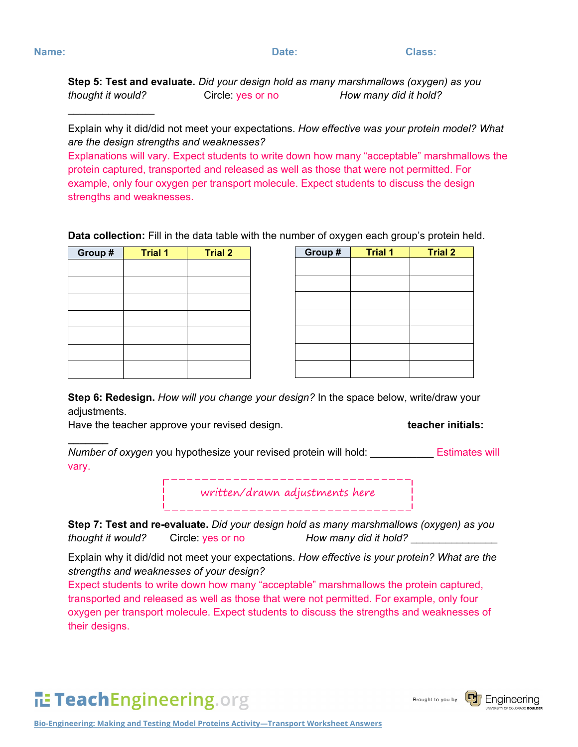$\frac{1}{2}$ 

**\_\_\_\_\_\_\_**

**Step 5: Test and evaluate.** *Did your design hold as many marshmallows (oxygen) as you thought it would?* Circle: yes or no *How many did it hold?*

Explain why it did/did not meet your expectations. *How effective was your protein model? What are the design strengths and weaknesses?*

Explanations will vary. Expect students to write down how many "acceptable" marshmallows the protein captured, transported and released as well as those that were not permitted. For example, only four oxygen per transport molecule. Expect students to discuss the design strengths and weaknesses.

**Data collection:** Fill in the data table with the number of oxygen each group's protein held.

| Group# | <b>Trial 1</b> | <b>Trial 2</b> |
|--------|----------------|----------------|
|        |                |                |
|        |                |                |
|        |                |                |
|        |                |                |
|        |                |                |
|        |                |                |
|        |                |                |

| Group # | <b>Trial 1</b> | <b>Trial 2</b> |
|---------|----------------|----------------|
|         |                |                |
|         |                |                |
|         |                |                |
|         |                |                |
|         |                |                |
|         |                |                |
|         |                |                |
|         |                |                |

**Step 6: Redesign.** *How will you change your design?* In the space below, write/draw your adjustments.

Have the teacher approve your revised design. **the end of the teacher initials: teacher initials:** 

*Number of oxygen* you hypothesize your revised protein will hold: Estimates will vary.

written/drawn adjustments here

. <u>\_ \_ \_ \_ \_ \_ \_ \_ \_ \_ \_ \_ \_ \_ \_ \_ \_ \_</u> \_ \_ \_ \_ \_

**Step 7: Test and re-evaluate.** *Did your design hold as many marshmallows (oxygen) as you thought it would?* Circle: yes or no *How many did it hold?* \_\_\_\_\_\_\_\_\_\_\_\_\_\_\_

Explain why it did/did not meet your expectations. *How effective is your protein? What are the strengths and weaknesses of your design?* 

Expect students to write down how many "acceptable" marshmallows the protein captured, transported and released as well as those that were not permitted. For example, only four oxygen per transport molecule. Expect students to discuss the strengths and weaknesses of their designs.